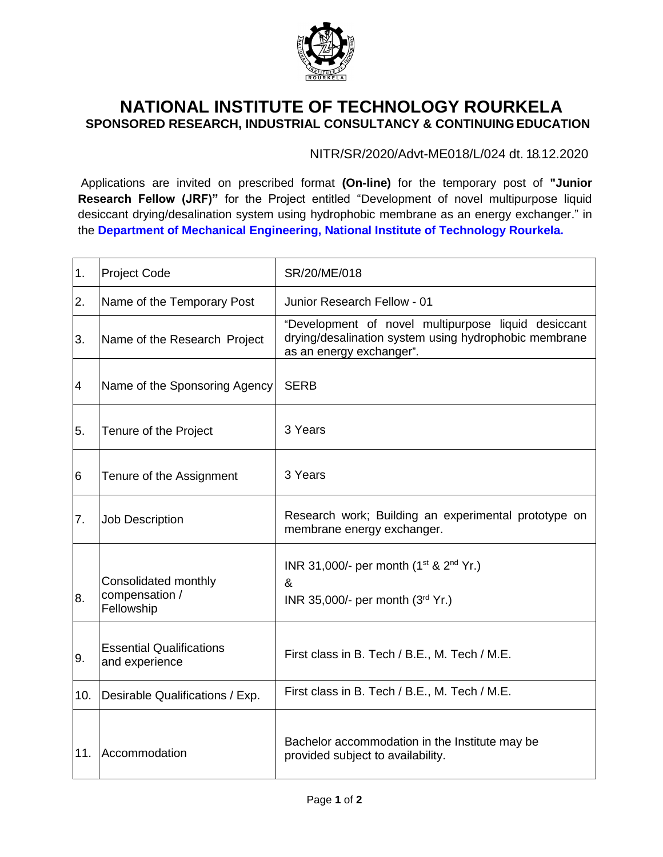

## **NATIONAL INSTITUTE OF TECHNOLOGY ROURKELA SPONSORED RESEARCH, INDUSTRIAL CONSULTANCY & CONTINUING EDUCATION**

NITR/SR/2020/Advt-ME018/L/024 dt. 18.12.2020

Applications are invited on prescribed format **(On-line)** for the temporary post of **"Junior Research Fellow (JRF)"** for the Project entitled "Development of novel multipurpose liquid desiccant drying/desalination system using hydrophobic membrane as an energy exchanger." in the **Department of Mechanical Engineering, National Institute of Technology Rourkela.**

| 1.  | <b>Project Code</b>                                  | SR/20/ME/018                                                                                                                             |
|-----|------------------------------------------------------|------------------------------------------------------------------------------------------------------------------------------------------|
| 2.  | Name of the Temporary Post                           | Junior Research Fellow - 01                                                                                                              |
| 3.  | Name of the Research Project                         | "Development of novel multipurpose liquid desiccant<br>drying/desalination system using hydrophobic membrane<br>as an energy exchanger". |
| 4   | Name of the Sponsoring Agency                        | <b>SERB</b>                                                                                                                              |
| 5.  | Tenure of the Project                                | 3 Years                                                                                                                                  |
| 6   | Tenure of the Assignment                             | 3 Years                                                                                                                                  |
| 7.  | <b>Job Description</b>                               | Research work; Building an experimental prototype on<br>membrane energy exchanger.                                                       |
| 8.  | Consolidated monthly<br>compensation /<br>Fellowship | INR 31,000/- per month (1 <sup>st</sup> & 2 <sup>nd</sup> Yr.)<br>&<br>INR 35,000/- per month (3rd Yr.)                                  |
| 9.  | <b>Essential Qualifications</b><br>and experience    | First class in B. Tech / B.E., M. Tech / M.E.                                                                                            |
| 10. | Desirable Qualifications / Exp.                      | First class in B. Tech / B.E., M. Tech / M.E.                                                                                            |
| 11. | Accommodation                                        | Bachelor accommodation in the Institute may be<br>provided subject to availability.                                                      |